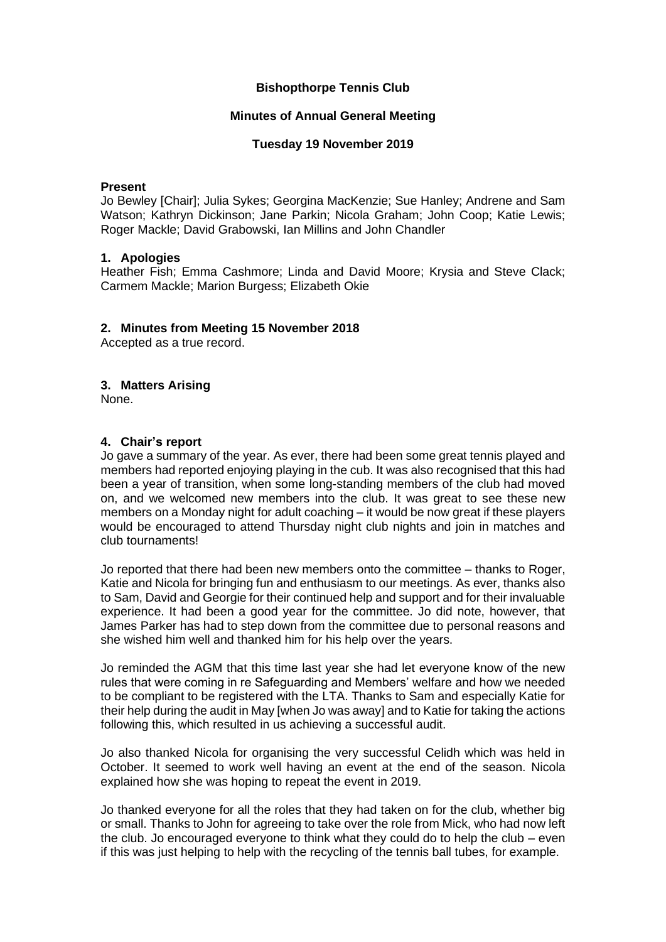# **Bishopthorpe Tennis Club**

### **Minutes of Annual General Meeting**

### **Tuesday 19 November 2019**

#### **Present**

Jo Bewley [Chair]; Julia Sykes; Georgina MacKenzie; Sue Hanley; Andrene and Sam Watson; Kathryn Dickinson; Jane Parkin; Nicola Graham; John Coop; Katie Lewis; Roger Mackle; David Grabowski, Ian Millins and John Chandler

#### **1. Apologies**

Heather Fish; Emma Cashmore; Linda and David Moore; Krysia and Steve Clack; Carmem Mackle; Marion Burgess; Elizabeth Okie

#### **2. Minutes from Meeting 15 November 2018**

Accepted as a true record.

## **3. Matters Arising**

None.

#### **4. Chair's report**

Jo gave a summary of the year. As ever, there had been some great tennis played and members had reported enjoying playing in the cub. It was also recognised that this had been a year of transition, when some long-standing members of the club had moved on, and we welcomed new members into the club. It was great to see these new members on a Monday night for adult coaching – it would be now great if these players would be encouraged to attend Thursday night club nights and join in matches and club tournaments!

Jo reported that there had been new members onto the committee – thanks to Roger, Katie and Nicola for bringing fun and enthusiasm to our meetings. As ever, thanks also to Sam, David and Georgie for their continued help and support and for their invaluable experience. It had been a good year for the committee. Jo did note, however, that James Parker has had to step down from the committee due to personal reasons and she wished him well and thanked him for his help over the years.

Jo reminded the AGM that this time last year she had let everyone know of the new rules that were coming in re Safeguarding and Members' welfare and how we needed to be compliant to be registered with the LTA. Thanks to Sam and especially Katie for their help during the audit in May [when Jo was away] and to Katie for taking the actions following this, which resulted in us achieving a successful audit.

Jo also thanked Nicola for organising the very successful Celidh which was held in October. It seemed to work well having an event at the end of the season. Nicola explained how she was hoping to repeat the event in 2019.

Jo thanked everyone for all the roles that they had taken on for the club, whether big or small. Thanks to John for agreeing to take over the role from Mick, who had now left the club. Jo encouraged everyone to think what they could do to help the club – even if this was just helping to help with the recycling of the tennis ball tubes, for example.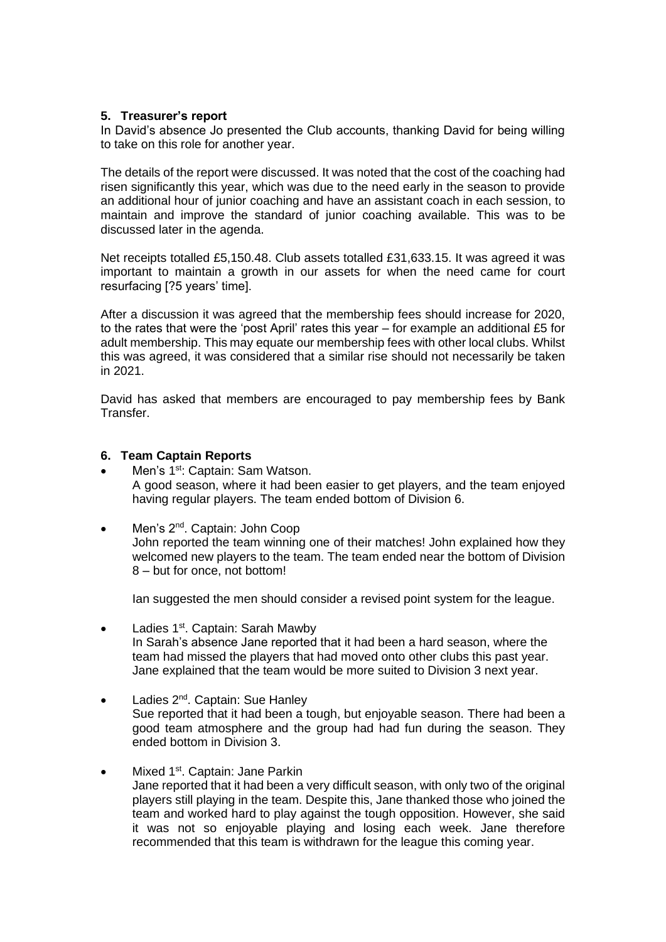## **5. Treasurer's report**

In David's absence Jo presented the Club accounts, thanking David for being willing to take on this role for another year.

The details of the report were discussed. It was noted that the cost of the coaching had risen significantly this year, which was due to the need early in the season to provide an additional hour of junior coaching and have an assistant coach in each session, to maintain and improve the standard of junior coaching available. This was to be discussed later in the agenda.

Net receipts totalled £5,150.48. Club assets totalled £31,633.15. It was agreed it was important to maintain a growth in our assets for when the need came for court resurfacing [?5 years' time].

After a discussion it was agreed that the membership fees should increase for 2020, to the rates that were the 'post April' rates this year – for example an additional £5 for adult membership. This may equate our membership fees with other local clubs. Whilst this was agreed, it was considered that a similar rise should not necessarily be taken in 2021.

David has asked that members are encouraged to pay membership fees by Bank Transfer.

#### **6. Team Captain Reports**

- Men's 1<sup>st</sup>: Captain: Sam Watson. A good season, where it had been easier to get players, and the team enjoyed having regular players. The team ended bottom of Division 6.
- Men's 2<sup>nd</sup>. Captain: John Coop John reported the team winning one of their matches! John explained how they welcomed new players to the team. The team ended near the bottom of Division 8 – but for once, not bottom!

Ian suggested the men should consider a revised point system for the league.

- Ladies  $1<sup>st</sup>$ . Captain: Sarah Mawby In Sarah's absence Jane reported that it had been a hard season, where the team had missed the players that had moved onto other clubs this past year. Jane explained that the team would be more suited to Division 3 next year.
- Ladies  $2^{nd}$ . Captain: Sue Hanley Sue reported that it had been a tough, but enjoyable season. There had been a good team atmosphere and the group had had fun during the season. They ended bottom in Division 3.
- Mixed  $1^{st}$ . Captain: Jane Parkin Jane reported that it had been a very difficult season, with only two of the original players still playing in the team. Despite this, Jane thanked those who joined the team and worked hard to play against the tough opposition. However, she said it was not so enjoyable playing and losing each week. Jane therefore recommended that this team is withdrawn for the league this coming year.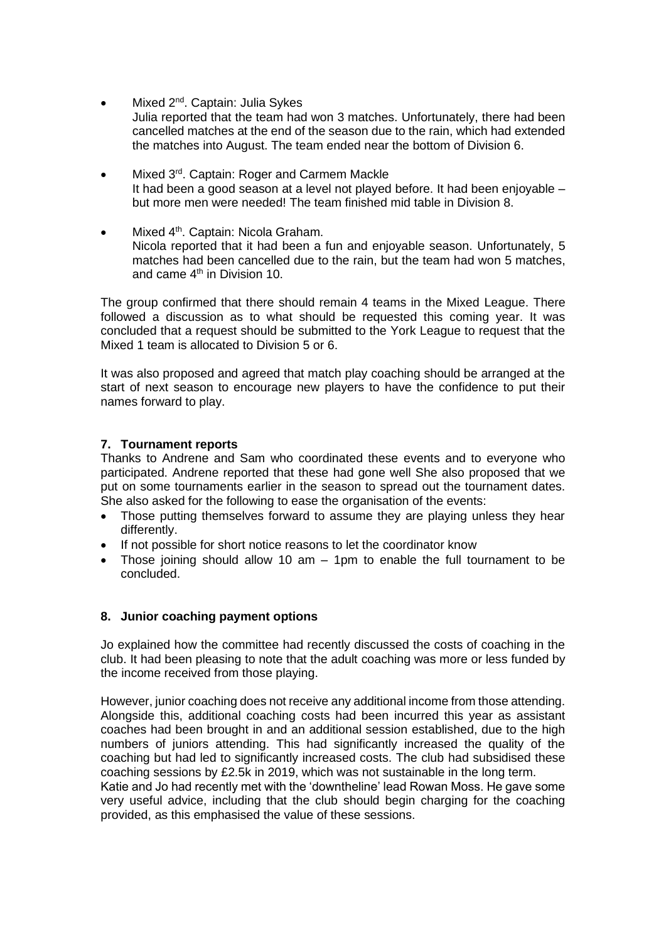- Mixed 2<sup>nd</sup>. Captain: Julia Sykes Julia reported that the team had won 3 matches. Unfortunately, there had been cancelled matches at the end of the season due to the rain, which had extended the matches into August. The team ended near the bottom of Division 6.
- Mixed 3<sup>rd</sup>. Captain: Roger and Carmem Mackle It had been a good season at a level not played before. It had been enjoyable – but more men were needed! The team finished mid table in Division 8.
- Mixed 4<sup>th</sup>. Captain: Nicola Graham. Nicola reported that it had been a fun and enjoyable season. Unfortunately, 5 matches had been cancelled due to the rain, but the team had won 5 matches, and came 4th in Division 10.

The group confirmed that there should remain 4 teams in the Mixed League. There followed a discussion as to what should be requested this coming year. It was concluded that a request should be submitted to the York League to request that the Mixed 1 team is allocated to Division 5 or 6.

It was also proposed and agreed that match play coaching should be arranged at the start of next season to encourage new players to have the confidence to put their names forward to play.

# **7. Tournament reports**

Thanks to Andrene and Sam who coordinated these events and to everyone who participated. Andrene reported that these had gone well She also proposed that we put on some tournaments earlier in the season to spread out the tournament dates. She also asked for the following to ease the organisation of the events:

- Those putting themselves forward to assume they are playing unless they hear differently.
- If not possible for short notice reasons to let the coordinator know
- Those joining should allow 10 am 1pm to enable the full tournament to be concluded.

# **8. Junior coaching payment options**

Jo explained how the committee had recently discussed the costs of coaching in the club. It had been pleasing to note that the adult coaching was more or less funded by the income received from those playing.

However, junior coaching does not receive any additional income from those attending. Alongside this, additional coaching costs had been incurred this year as assistant coaches had been brought in and an additional session established, due to the high numbers of juniors attending. This had significantly increased the quality of the coaching but had led to significantly increased costs. The club had subsidised these coaching sessions by £2.5k in 2019, which was not sustainable in the long term. Katie and Jo had recently met with the 'downtheline' lead Rowan Moss. He gave some very useful advice, including that the club should begin charging for the coaching provided, as this emphasised the value of these sessions.